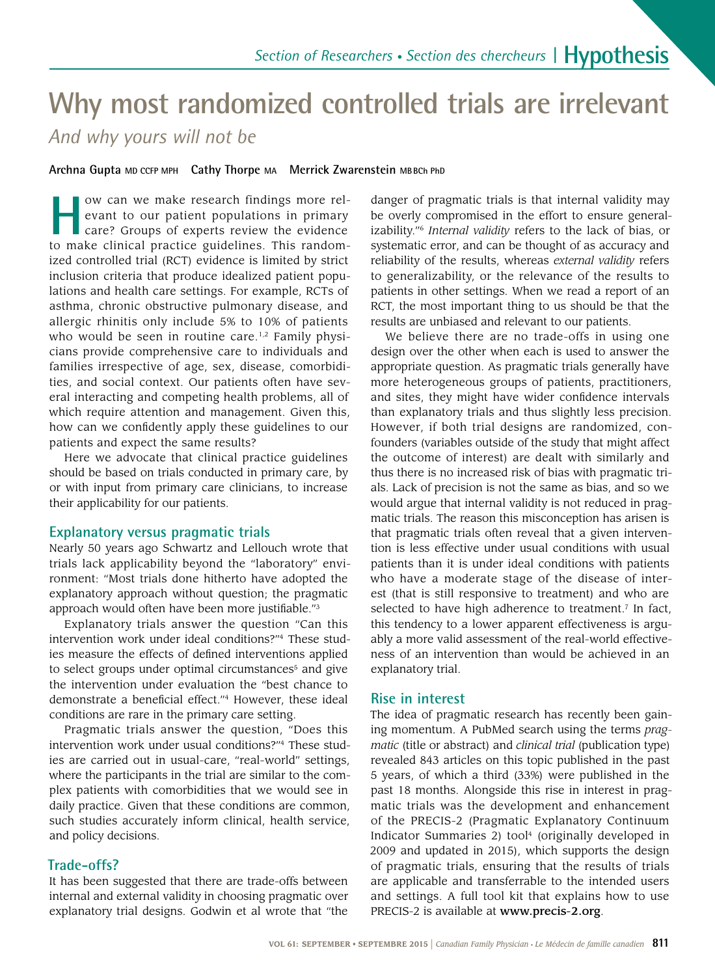# **Why most randomized controlled trials are irrelevant**

*And why yours will not be*

**Archna Gupta MD CCFP MPH Cathy Thorpe MA Merrick Zwarenstein MBBCh PhD**

**How can we make research findings more rel-**<br>
evant to our patient populations in primary<br>
care? Groups of experts review the evidence evant to our patient populations in primary to make clinical practice guidelines. This randomized controlled trial (RCT) evidence is limited by strict inclusion criteria that produce idealized patient populations and health care settings. For example, RCTs of asthma, chronic obstructive pulmonary disease, and allergic rhinitis only include 5% to 10% of patients who would be seen in routine care.<sup>1,2</sup> Family physicians provide comprehensive care to individuals and families irrespective of age, sex, disease, comorbidities, and social context. Our patients often have several interacting and competing health problems, all of which require attention and management. Given this, how can we confidently apply these guidelines to our patients and expect the same results?

Here we advocate that clinical practice guidelines should be based on trials conducted in primary care, by or with input from primary care clinicians, to increase their applicability for our patients.

### **Explanatory versus pragmatic trials**

Nearly 50 years ago Schwartz and Lellouch wrote that trials lack applicability beyond the "laboratory" environment: "Most trials done hitherto have adopted the explanatory approach without question; the pragmatic approach would often have been more justifiable."3

Explanatory trials answer the question "Can this intervention work under ideal conditions?"4 These studies measure the effects of defined interventions applied to select groups under optimal circumstances<sup>5</sup> and give the intervention under evaluation the "best chance to demonstrate a beneficial effect."4 However, these ideal conditions are rare in the primary care setting.

Pragmatic trials answer the question, "Does this intervention work under usual conditions?"4 These studies are carried out in usual-care, "real-world" settings, where the participants in the trial are similar to the complex patients with comorbidities that we would see in daily practice. Given that these conditions are common, such studies accurately inform clinical, health service, and policy decisions.

# **Trade-offs?**

It has been suggested that there are trade-offs between internal and external validity in choosing pragmatic over explanatory trial designs. Godwin et al wrote that "the

danger of pragmatic trials is that internal validity may be overly compromised in the effort to ensure generalizability."6 *Internal validity* refers to the lack of bias, or systematic error, and can be thought of as accuracy and reliability of the results, whereas *external validity* refers to generalizability, or the relevance of the results to patients in other settings. When we read a report of an RCT, the most important thing to us should be that the results are unbiased and relevant to our patients.

We believe there are no trade-offs in using one design over the other when each is used to answer the appropriate question. As pragmatic trials generally have more heterogeneous groups of patients, practitioners, and sites, they might have wider confidence intervals than explanatory trials and thus slightly less precision. However, if both trial designs are randomized, confounders (variables outside of the study that might affect the outcome of interest) are dealt with similarly and thus there is no increased risk of bias with pragmatic trials. Lack of precision is not the same as bias, and so we would argue that internal validity is not reduced in pragmatic trials. The reason this misconception has arisen is that pragmatic trials often reveal that a given intervention is less effective under usual conditions with usual patients than it is under ideal conditions with patients who have a moderate stage of the disease of interest (that is still responsive to treatment) and who are selected to have high adherence to treatment.<sup>7</sup> In fact, this tendency to a lower apparent effectiveness is arguably a more valid assessment of the real-world effectiveness of an intervention than would be achieved in an explanatory trial.

# **Rise in interest**

The idea of pragmatic research has recently been gaining momentum. A PubMed search using the terms *pragmatic* (title or abstract) and *clinical trial* (publication type) revealed 843 articles on this topic published in the past 5 years, of which a third (33%) were published in the past 18 months. Alongside this rise in interest in pragmatic trials was the development and enhancement of the PRECIS-2 (Pragmatic Explanatory Continuum Indicator Summaries 2) tool<sup>4</sup> (originally developed in 2009 and updated in 2015), which supports the design of pragmatic trials, ensuring that the results of trials are applicable and transferrable to the intended users and settings. A full tool kit that explains how to use PRECIS-2 is available at www.precis-2.org.